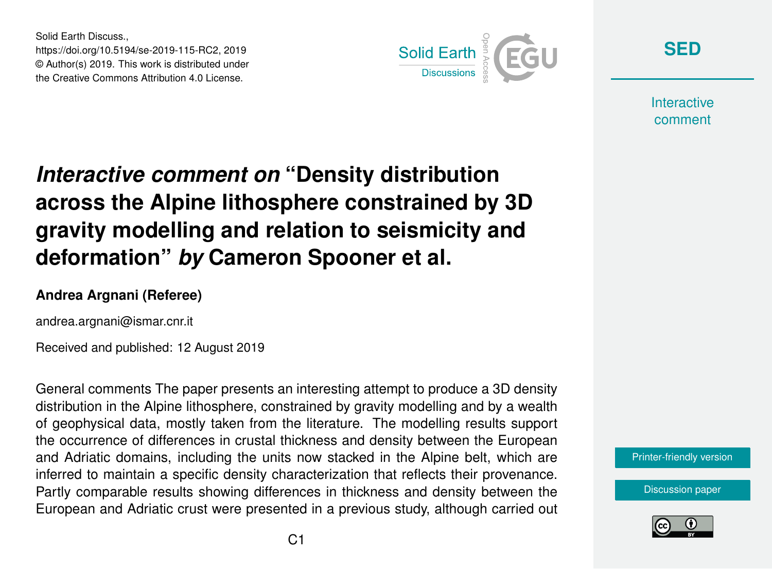Solid Earth Discuss., https://doi.org/10.5194/se-2019-115-RC2, 2019 © Author(s) 2019. This work is distributed under the Creative Commons Attribution 4.0 License.



**[SED](https://www.solid-earth-discuss.net/)**

**Interactive** comment

# *Interactive comment on* **"Density distribution across the Alpine lithosphere constrained by 3D gravity modelling and relation to seismicity and deformation"** *by* **Cameron Spooner et al.**

#### **Andrea Argnani (Referee)**

andrea.argnani@ismar.cnr.it

Received and published: 12 August 2019

General comments The paper presents an interesting attempt to produce a 3D density distribution in the Alpine lithosphere, constrained by gravity modelling and by a wealth of geophysical data, mostly taken from the literature. The modelling results support the occurrence of differences in crustal thickness and density between the European and Adriatic domains, including the units now stacked in the Alpine belt, which are inferred to maintain a specific density characterization that reflects their provenance. Partly comparable results showing differences in thickness and density between the European and Adriatic crust were presented in a previous study, although carried out



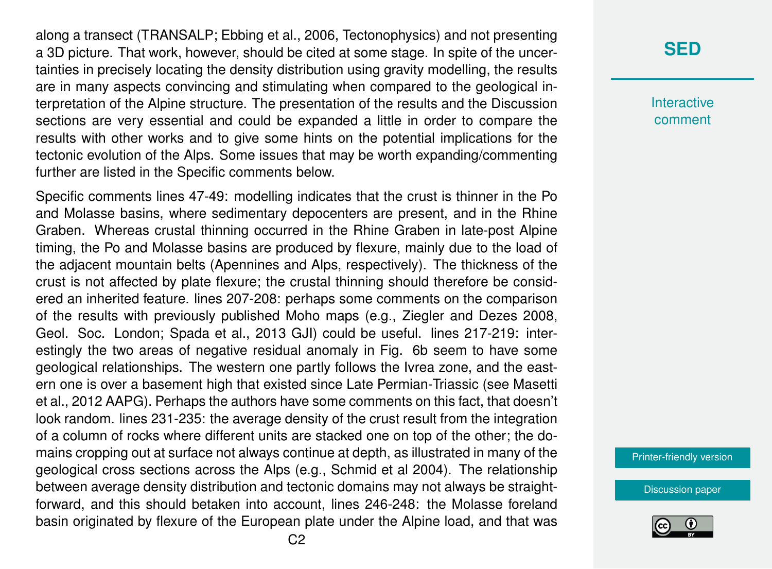along a transect (TRANSALP; Ebbing et al., 2006, Tectonophysics) and not presenting a 3D picture. That work, however, should be cited at some stage. In spite of the uncertainties in precisely locating the density distribution using gravity modelling, the results are in many aspects convincing and stimulating when compared to the geological interpretation of the Alpine structure. The presentation of the results and the Discussion sections are very essential and could be expanded a little in order to compare the results with other works and to give some hints on the potential implications for the tectonic evolution of the Alps. Some issues that may be worth expanding/commenting further are listed in the Specific comments below.

Specific comments lines 47-49: modelling indicates that the crust is thinner in the Po and Molasse basins, where sedimentary depocenters are present, and in the Rhine Graben. Whereas crustal thinning occurred in the Rhine Graben in late-post Alpine timing, the Po and Molasse basins are produced by flexure, mainly due to the load of the adjacent mountain belts (Apennines and Alps, respectively). The thickness of the crust is not affected by plate flexure; the crustal thinning should therefore be considered an inherited feature. lines 207-208: perhaps some comments on the comparison of the results with previously published Moho maps (e.g., Ziegler and Dezes 2008, Geol. Soc. London; Spada et al., 2013 GJI) could be useful. lines 217-219: interestingly the two areas of negative residual anomaly in Fig. 6b seem to have some geological relationships. The western one partly follows the Ivrea zone, and the eastern one is over a basement high that existed since Late Permian-Triassic (see Masetti et al., 2012 AAPG). Perhaps the authors have some comments on this fact, that doesn't look random. lines 231-235: the average density of the crust result from the integration of a column of rocks where different units are stacked one on top of the other; the domains cropping out at surface not always continue at depth, as illustrated in many of the geological cross sections across the Alps (e.g., Schmid et al 2004). The relationship between average density distribution and tectonic domains may not always be straightforward, and this should betaken into account, lines 246-248: the Molasse foreland basin originated by flexure of the European plate under the Alpine load, and that was

## **[SED](https://www.solid-earth-discuss.net/)**

**Interactive** comment

[Printer-friendly version](https://www.solid-earth-discuss.net/se-2019-115/se-2019-115-RC2-print.pdf)

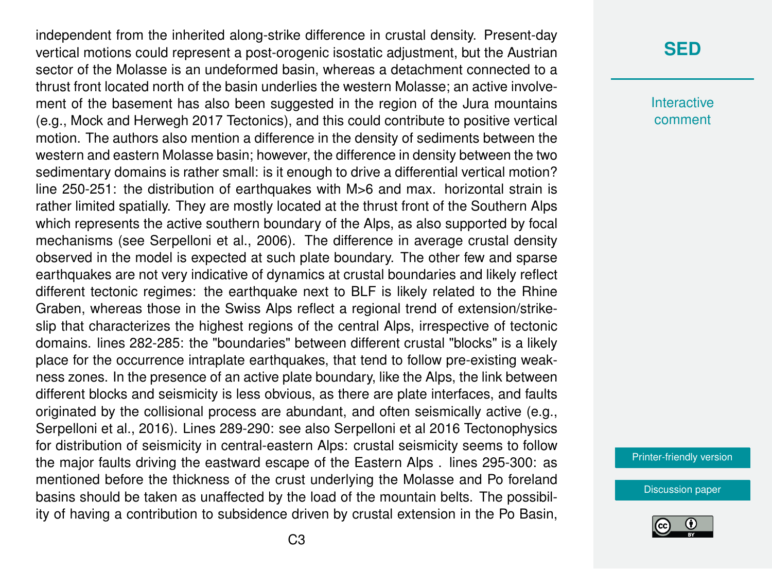independent from the inherited along-strike difference in crustal density. Present-day vertical motions could represent a post-orogenic isostatic adjustment, but the Austrian sector of the Molasse is an undeformed basin, whereas a detachment connected to a thrust front located north of the basin underlies the western Molasse; an active involvement of the basement has also been suggested in the region of the Jura mountains (e.g., Mock and Herwegh 2017 Tectonics), and this could contribute to positive vertical motion. The authors also mention a difference in the density of sediments between the western and eastern Molasse basin; however, the difference in density between the two sedimentary domains is rather small: is it enough to drive a differential vertical motion? line 250-251: the distribution of earthquakes with M>6 and max. horizontal strain is rather limited spatially. They are mostly located at the thrust front of the Southern Alps which represents the active southern boundary of the Alps, as also supported by focal mechanisms (see Serpelloni et al., 2006). The difference in average crustal density observed in the model is expected at such plate boundary. The other few and sparse earthquakes are not very indicative of dynamics at crustal boundaries and likely reflect different tectonic regimes: the earthquake next to BLF is likely related to the Rhine Graben, whereas those in the Swiss Alps reflect a regional trend of extension/strikeslip that characterizes the highest regions of the central Alps, irrespective of tectonic domains. lines 282-285: the "boundaries" between different crustal "blocks" is a likely place for the occurrence intraplate earthquakes, that tend to follow pre-existing weakness zones. In the presence of an active plate boundary, like the Alps, the link between different blocks and seismicity is less obvious, as there are plate interfaces, and faults originated by the collisional process are abundant, and often seismically active (e.g., Serpelloni et al., 2016). Lines 289-290: see also Serpelloni et al 2016 Tectonophysics for distribution of seismicity in central-eastern Alps: crustal seismicity seems to follow the major faults driving the eastward escape of the Eastern Alps . lines 295-300: as mentioned before the thickness of the crust underlying the Molasse and Po foreland basins should be taken as unaffected by the load of the mountain belts. The possibility of having a contribution to subsidence driven by crustal extension in the Po Basin,

### **[SED](https://www.solid-earth-discuss.net/)**

**Interactive** comment

[Printer-friendly version](https://www.solid-earth-discuss.net/se-2019-115/se-2019-115-RC2-print.pdf)

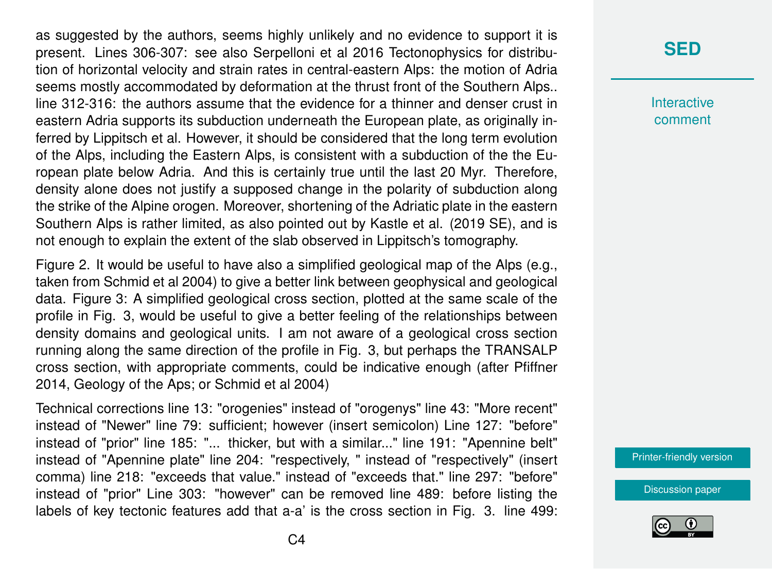as suggested by the authors, seems highly unlikely and no evidence to support it is present. Lines 306-307: see also Serpelloni et al 2016 Tectonophysics for distribution of horizontal velocity and strain rates in central-eastern Alps: the motion of Adria seems mostly accommodated by deformation at the thrust front of the Southern Alps.. line 312-316: the authors assume that the evidence for a thinner and denser crust in eastern Adria supports its subduction underneath the European plate, as originally inferred by Lippitsch et al. However, it should be considered that the long term evolution of the Alps, including the Eastern Alps, is consistent with a subduction of the the European plate below Adria. And this is certainly true until the last 20 Myr. Therefore, density alone does not justify a supposed change in the polarity of subduction along the strike of the Alpine orogen. Moreover, shortening of the Adriatic plate in the eastern Southern Alps is rather limited, as also pointed out by Kastle et al. (2019 SE), and is not enough to explain the extent of the slab observed in Lippitsch's tomography.

Figure 2. It would be useful to have also a simplified geological map of the Alps (e.g., taken from Schmid et al 2004) to give a better link between geophysical and geological data. Figure 3: A simplified geological cross section, plotted at the same scale of the profile in Fig. 3, would be useful to give a better feeling of the relationships between density domains and geological units. I am not aware of a geological cross section running along the same direction of the profile in Fig. 3, but perhaps the TRANSALP cross section, with appropriate comments, could be indicative enough (after Pfiffner 2014, Geology of the Aps; or Schmid et al 2004)

Technical corrections line 13: "orogenies" instead of "orogenys" line 43: "More recent" instead of "Newer" line 79: sufficient; however (insert semicolon) Line 127: "before" instead of "prior" line 185: "... thicker, but with a similar..." line 191: "Apennine belt" instead of "Apennine plate" line 204: "respectively, " instead of "respectively" (insert comma) line 218: "exceeds that value." instead of "exceeds that." line 297: "before" instead of "prior" Line 303: "however" can be removed line 489: before listing the labels of key tectonic features add that a-a' is the cross section in Fig. 3. line 499:

## **[SED](https://www.solid-earth-discuss.net/)**

**Interactive** comment

[Printer-friendly version](https://www.solid-earth-discuss.net/se-2019-115/se-2019-115-RC2-print.pdf)